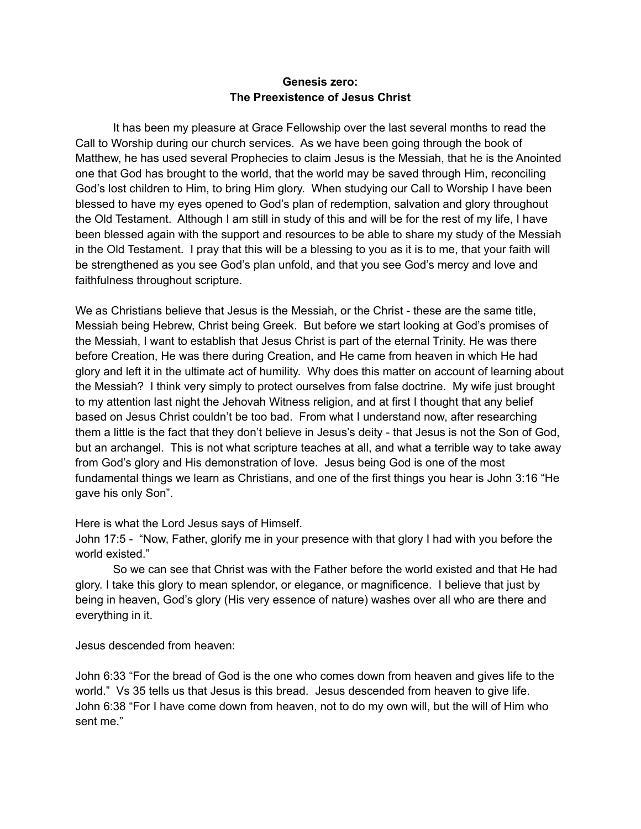## **Genesis zero: The Preexistence of Jesus Christ**

It has been my pleasure at Grace Fellowship over the last several months to read the Call to Worship during our church services. As we have been going through the book of Matthew, he has used several Prophecies to claim Jesus is the Messiah, that he is the Anointed one that God has brought to the world, that the world may be saved through Him, reconciling God's lost children to Him, to bring Him glory. When studying our Call to Worship I have been blessed to have my eyes opened to God's plan of redemption, salvation and glory throughout the Old Testament. Although I am still in study of this and will be for the rest of my life, I have been blessed again with the support and resources to be able to share my study of the Messiah in the Old Testament. I pray that this will be a blessing to you as it is to me, that your faith will be strengthened as you see God's plan unfold, and that you see God's mercy and love and faithfulness throughout scripture.

We as Christians believe that Jesus is the Messiah, or the Christ - these are the same title, Messiah being Hebrew, Christ being Greek. But before we start looking at God's promises of the Messiah, I want to establish that Jesus Christ is part of the eternal Trinity. He was there before Creation, He was there during Creation, and He came from heaven in which He had glory and left it in the ultimate act of humility. Why does this matter on account of learning about the Messiah? I think very simply to protect ourselves from false doctrine. My wife just brought to my attention last night the Jehovah Witness religion, and at first I thought that any belief based on Jesus Christ couldn't be too bad. From what I understand now, after researching them a little is the fact that they don't believe in Jesus's deity - that Jesus is not the Son of God, but an archangel. This is not what scripture teaches at all, and what a terrible way to take away from God's glory and His demonstration of love. Jesus being God is one of the most fundamental things we learn as Christians, and one of the first things you hear is John 3:16 "He gave his only Son".

Here is what the Lord Jesus says of Himself.

John 17:5 - "Now, Father, glorify me in your presence with that glory I had with you before the world existed."

So we can see that Christ was with the Father before the world existed and that He had glory. I take this glory to mean splendor, or elegance, or magnificence. I believe that just by being in heaven, God's glory (His very essence of nature) washes over all who are there and everything in it.

Jesus descended from heaven:

John 6:33 "For the bread of God is the one who comes down from heaven and gives life to the world." Vs 35 tells us that Jesus is this bread. Jesus descended from heaven to give life. John 6:38 "For I have come down from heaven, not to do my own will, but the will of Him who sent me."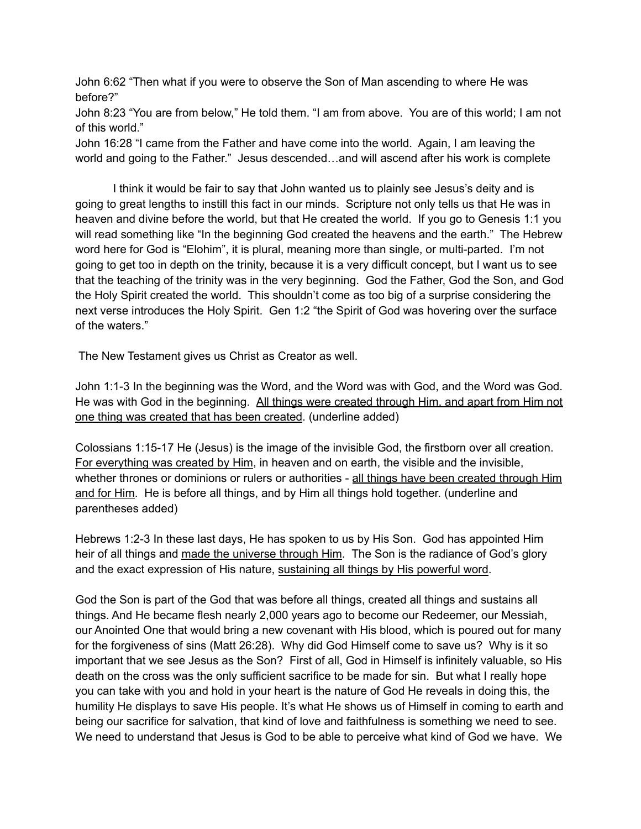John 6:62 "Then what if you were to observe the Son of Man ascending to where He was before?"

John 8:23 "You are from below," He told them. "I am from above. You are of this world; I am not of this world."

John 16:28 "I came from the Father and have come into the world. Again, I am leaving the world and going to the Father." Jesus descended…and will ascend after his work is complete

I think it would be fair to say that John wanted us to plainly see Jesus's deity and is going to great lengths to instill this fact in our minds. Scripture not only tells us that He was in heaven and divine before the world, but that He created the world. If you go to Genesis 1:1 you will read something like "In the beginning God created the heavens and the earth." The Hebrew word here for God is "Elohim", it is plural, meaning more than single, or multi-parted. I'm not going to get too in depth on the trinity, because it is a very difficult concept, but I want us to see that the teaching of the trinity was in the very beginning. God the Father, God the Son, and God the Holy Spirit created the world. This shouldn't come as too big of a surprise considering the next verse introduces the Holy Spirit. Gen 1:2 "the Spirit of God was hovering over the surface of the waters."

The New Testament gives us Christ as Creator as well.

John 1:1-3 In the beginning was the Word, and the Word was with God, and the Word was God. He was with God in the beginning. All things were created through Him, and apart from Him not one thing was created that has been created. (underline added)

Colossians 1:15-17 He (Jesus) is the image of the invisible God, the firstborn over all creation. For everything was created by Him, in heaven and on earth, the visible and the invisible, whether thrones or dominions or rulers or authorities - all things have been created through Him and for Him. He is before all things, and by Him all things hold together. (underline and parentheses added)

Hebrews 1:2-3 In these last days, He has spoken to us by His Son. God has appointed Him heir of all things and made the universe through Him. The Son is the radiance of God's glory and the exact expression of His nature, sustaining all things by His powerful word.

God the Son is part of the God that was before all things, created all things and sustains all things. And He became flesh nearly 2,000 years ago to become our Redeemer, our Messiah, our Anointed One that would bring a new covenant with His blood, which is poured out for many for the forgiveness of sins (Matt 26:28). Why did God Himself come to save us? Why is it so important that we see Jesus as the Son? First of all, God in Himself is infinitely valuable, so His death on the cross was the only sufficient sacrifice to be made for sin. But what I really hope you can take with you and hold in your heart is the nature of God He reveals in doing this, the humility He displays to save His people. It's what He shows us of Himself in coming to earth and being our sacrifice for salvation, that kind of love and faithfulness is something we need to see. We need to understand that Jesus is God to be able to perceive what kind of God we have. We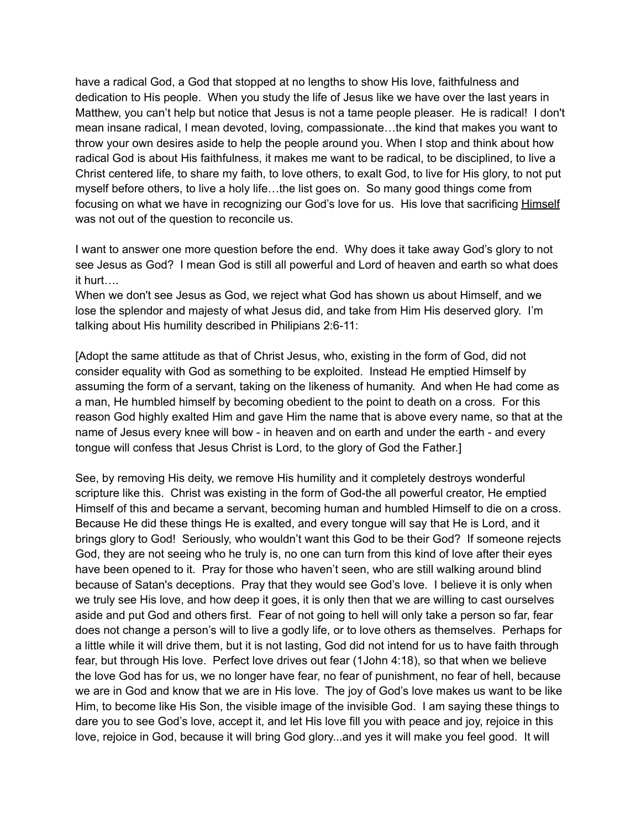have a radical God, a God that stopped at no lengths to show His love, faithfulness and dedication to His people. When you study the life of Jesus like we have over the last years in Matthew, you can't help but notice that Jesus is not a tame people pleaser. He is radical! I don't mean insane radical, I mean devoted, loving, compassionate…the kind that makes you want to throw your own desires aside to help the people around you. When I stop and think about how radical God is about His faithfulness, it makes me want to be radical, to be disciplined, to live a Christ centered life, to share my faith, to love others, to exalt God, to live for His glory, to not put myself before others, to live a holy life…the list goes on. So many good things come from focusing on what we have in recognizing our God's love for us. His love that sacrificing Himself was not out of the question to reconcile us.

I want to answer one more question before the end. Why does it take away God's glory to not see Jesus as God? I mean God is still all powerful and Lord of heaven and earth so what does it hurt….

When we don't see Jesus as God, we reject what God has shown us about Himself, and we lose the splendor and majesty of what Jesus did, and take from Him His deserved glory. I'm talking about His humility described in Philipians 2:6-11:

[Adopt the same attitude as that of Christ Jesus, who, existing in the form of God, did not consider equality with God as something to be exploited. Instead He emptied Himself by assuming the form of a servant, taking on the likeness of humanity. And when He had come as a man, He humbled himself by becoming obedient to the point to death on a cross. For this reason God highly exalted Him and gave Him the name that is above every name, so that at the name of Jesus every knee will bow - in heaven and on earth and under the earth - and every tongue will confess that Jesus Christ is Lord, to the glory of God the Father.]

See, by removing His deity, we remove His humility and it completely destroys wonderful scripture like this. Christ was existing in the form of God-the all powerful creator, He emptied Himself of this and became a servant, becoming human and humbled Himself to die on a cross. Because He did these things He is exalted, and every tongue will say that He is Lord, and it brings glory to God! Seriously, who wouldn't want this God to be their God? If someone rejects God, they are not seeing who he truly is, no one can turn from this kind of love after their eyes have been opened to it. Pray for those who haven't seen, who are still walking around blind because of Satan's deceptions. Pray that they would see God's love. I believe it is only when we truly see His love, and how deep it goes, it is only then that we are willing to cast ourselves aside and put God and others first. Fear of not going to hell will only take a person so far, fear does not change a person's will to live a godly life, or to love others as themselves. Perhaps for a little while it will drive them, but it is not lasting, God did not intend for us to have faith through fear, but through His love. Perfect love drives out fear (1John 4:18), so that when we believe the love God has for us, we no longer have fear, no fear of punishment, no fear of hell, because we are in God and know that we are in His love. The joy of God's love makes us want to be like Him, to become like His Son, the visible image of the invisible God. I am saying these things to dare you to see God's love, accept it, and let His love fill you with peace and joy, rejoice in this love, rejoice in God, because it will bring God glory...and yes it will make you feel good. It will